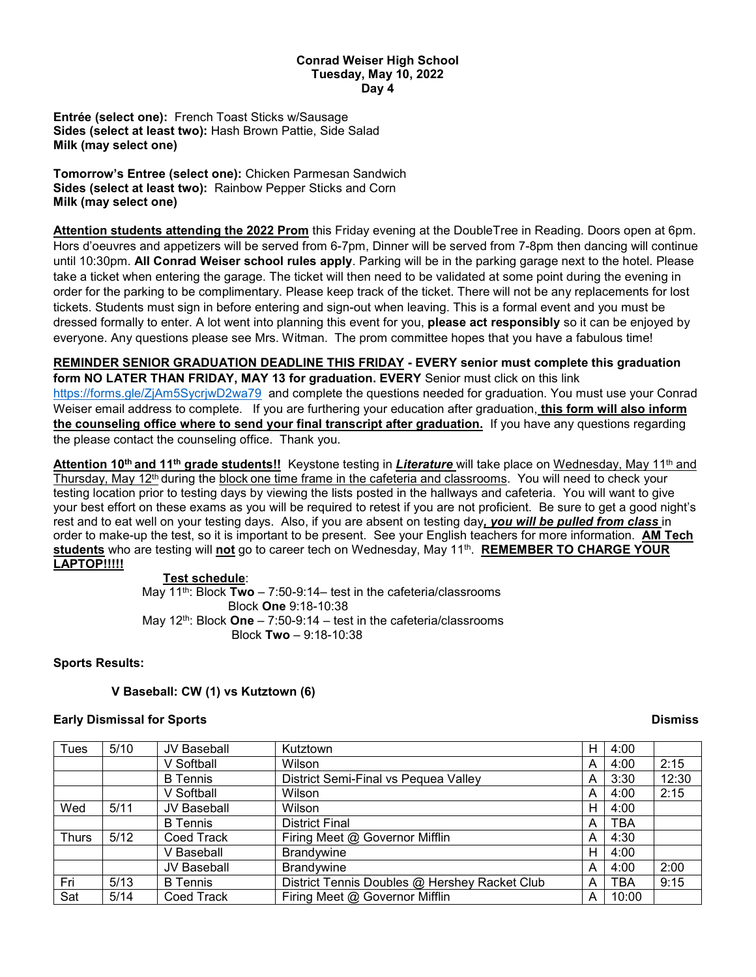### **Conrad Weiser High School Tuesday, May 10, 2022 Day 4**

**Entrée (select one):** French Toast Sticks w/Sausage **Sides (select at least two):** Hash Brown Pattie, Side Salad **Milk (may select one)**

**Tomorrow's Entree (select one):** Chicken Parmesan Sandwich **Sides (select at least two):** Rainbow Pepper Sticks and Corn **Milk (may select one)**

**Attention students attending the 2022 Prom** this Friday evening at the DoubleTree in Reading. Doors open at 6pm. Hors d'oeuvres and appetizers will be served from 6-7pm, Dinner will be served from 7-8pm then dancing will continue until 10:30pm. **All Conrad Weiser school rules apply**. Parking will be in the parking garage next to the hotel. Please take a ticket when entering the garage. The ticket will then need to be validated at some point during the evening in order for the parking to be complimentary. Please keep track of the ticket. There will not be any replacements for lost tickets. Students must sign in before entering and sign-out when leaving. This is a formal event and you must be dressed formally to enter. A lot went into planning this event for you, **please act responsibly** so it can be enjoyed by everyone. Any questions please see Mrs. Witman. The prom committee hopes that you have a fabulous time!

**REMINDER SENIOR GRADUATION DEADLINE THIS FRIDAY - EVERY senior must complete this graduation form NO LATER THAN FRIDAY, MAY 13 for graduation. EVERY** Senior must click on this link <https://forms.gle/ZjAm5SycrjwD2wa79> and complete the questions needed for graduation. You must use your Conrad Weiser email address to complete. If you are furthering your education after graduation, **this form will also inform the counseling office where to send your final transcript after graduation.** If you have any questions regarding the please contact the counseling office. Thank you.

**Attention 10th and 11th grade students!!** Keystone testing in *Literature* will take place on Wednesday, May 11th and Thursday, May 12th during the block one time frame in the cafeteria and classrooms. You will need to check your testing location prior to testing days by viewing the lists posted in the hallways and cafeteria. You will want to give your best effort on these exams as you will be required to retest if you are not proficient. Be sure to get a good night's rest and to eat well on your testing days. Also, if you are absent on testing day*, you will be pulled from class* in order to make-up the test, so it is important to be present. See your English teachers for more information. **AM Tech students** who are testing will **not** go to career tech on Wednesday, May 11th. **REMEMBER TO CHARGE YOUR LAPTOP!!!!!**

# **Test schedule**:

May 11th: Block **Two** – 7:50-9:14– test in the cafeteria/classrooms Block **One** 9:18-10:38 May 12<sup>th</sup>: Block **One** – 7:50-9:14 – test in the cafeteria/classrooms Block **Two** – 9:18-10:38

# **Sports Results:**

# **V Baseball: CW (1) vs Kutztown (6)**

## **Early Dismissal for Sports Dismiss**

| Tues         | 5/10 | JV Baseball     | Kutztown                                      | Н | 4:00  |       |
|--------------|------|-----------------|-----------------------------------------------|---|-------|-------|
|              |      | V Softball      | Wilson                                        | A | 4:00  | 2:15  |
|              |      | <b>B</b> Tennis | District Semi-Final vs Pequea Valley          | A | 3:30  | 12:30 |
|              |      | V Softball      | Wilson                                        | Α | 4:00  | 2:15  |
| Wed          | 5/11 | JV Baseball     | Wilson                                        | Н | 4:00  |       |
|              |      | <b>B</b> Tennis | <b>District Final</b>                         | A | TBA   |       |
| <b>Thurs</b> | 5/12 | Coed Track      | Firing Meet @ Governor Mifflin                | A | 4:30  |       |
|              |      | V Baseball      | <b>Brandvwine</b>                             | Н | 4:00  |       |
|              |      | JV Baseball     | <b>Brandywine</b>                             | А | 4:00  | 2:00  |
| Fri          | 5/13 | <b>B</b> Tennis | District Tennis Doubles @ Hershey Racket Club | A | TBA   | 9:15  |
| Sat          | 5/14 | Coed Track      | Firing Meet @ Governor Mifflin                | A | 10:00 |       |